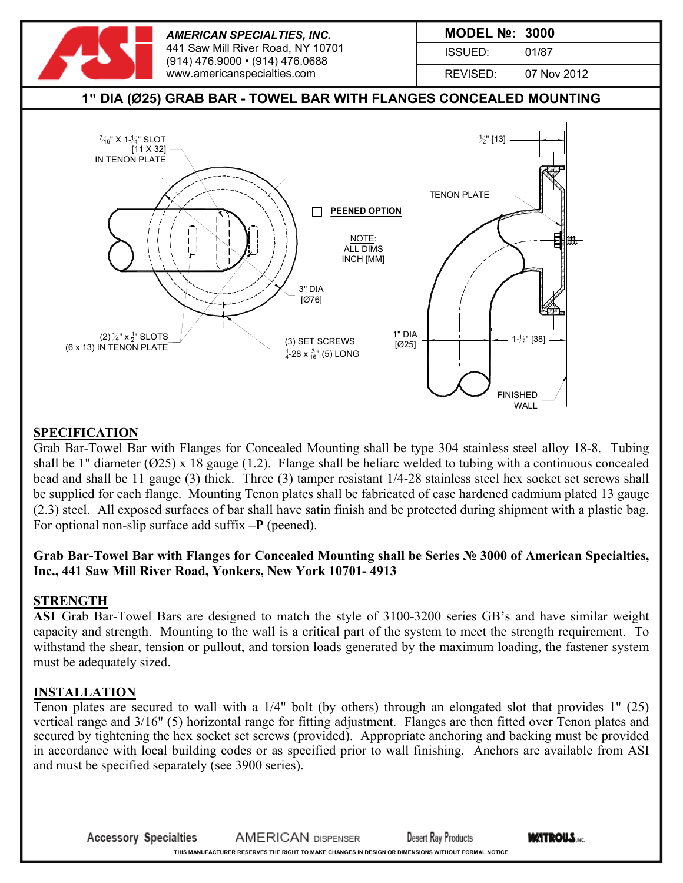

### **SPECIFICATION**

Grab Bar-Towel Bar with Flanges for Concealed Mounting shall be type 304 stainless steel alloy 18-8. Tubing shall be 1" diameter ( $\varnothing$ 25) x 18 gauge (1.2). Flange shall be heliarc welded to tubing with a continuous concealed bead and shall be 11 gauge (3) thick. Three (3) tamper resistant 1/4-28 stainless steel hex socket set screws shall be supplied for each flange. Mounting Tenon plates shall be fabricated of case hardened cadmium plated 13 gauge (2.3) steel. All exposed surfaces of bar shall have satin finish and be protected during shipment with a plastic bag. For optional non-slip surface add suffix **–P** (peened).

## **Grab Bar-Towel Bar with Flanges for Concealed Mounting shall be Series № 3000 of American Specialties, Inc., 441 Saw Mill River Road, Yonkers, New York 10701- 4913**

#### **STRENGTH**

**ASI** Grab Bar-Towel Bars are designed to match the style of 3100-3200 series GB's and have similar weight capacity and strength. Mounting to the wall is a critical part of the system to meet the strength requirement. To withstand the shear, tension or pullout, and torsion loads generated by the maximum loading, the fastener system must be adequately sized.

#### **INSTALLATION**

Tenon plates are secured to wall with a 1/4" bolt (by others) through an elongated slot that provides 1" (25) vertical range and 3/16" (5) horizontal range for fitting adjustment. Flanges are then fitted over Tenon plates and secured by tightening the hex socket set screws (provided). Appropriate anchoring and backing must be provided in accordance with local building codes or as specified prior to wall finishing. Anchors are available from ASI and must be specified separately (see 3900 series).

**WATROUS.**NG **Accessory Specialties AMERICAN DISPENSER Desert Ray Products THIS MANUFACTURER RESERVES THE RIGHT TO MAKE CHANGES IN DESIGN OR DIMENSIONS WITHOUT FORMAL NOTICE**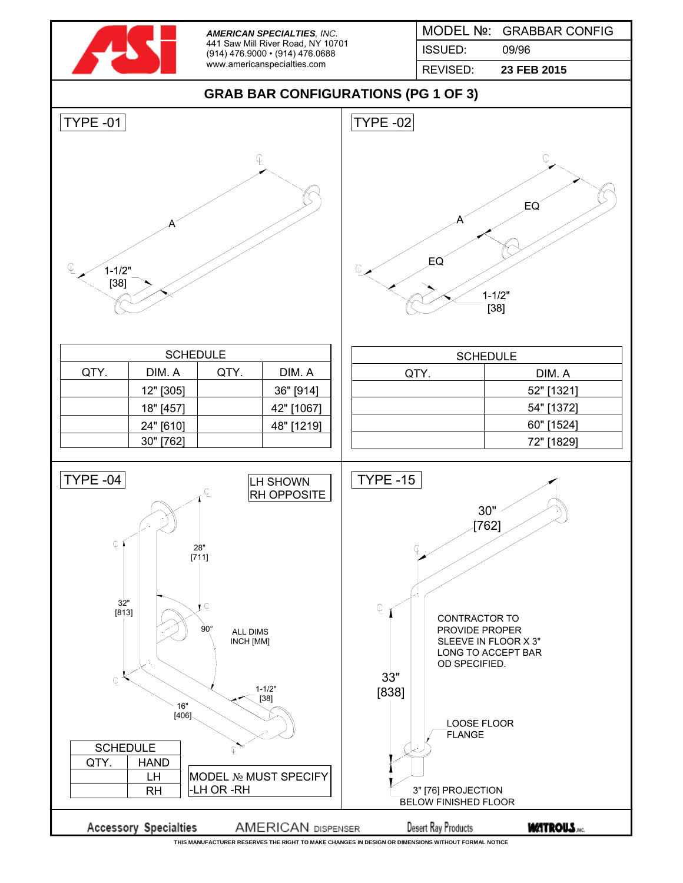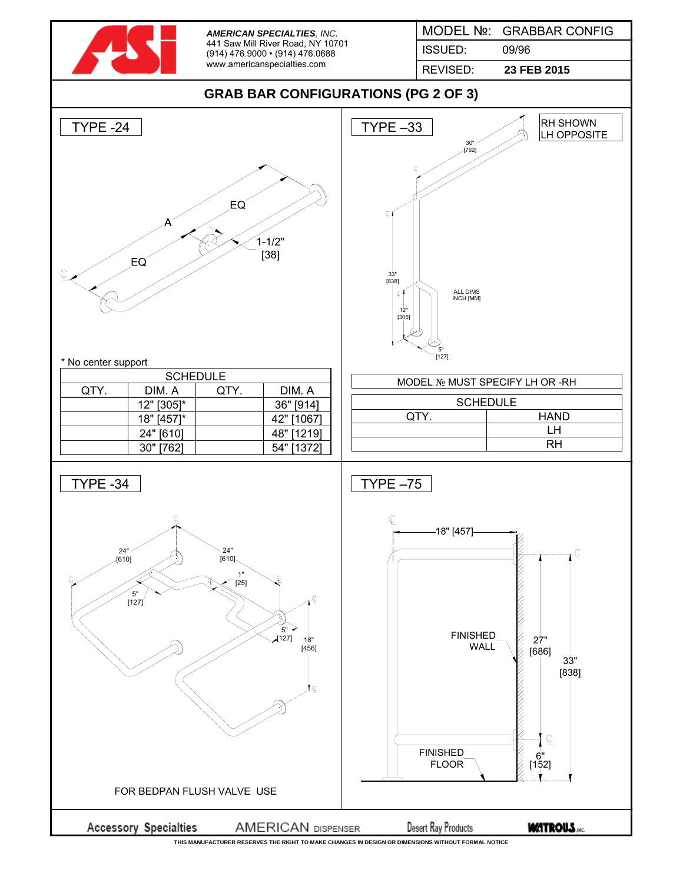